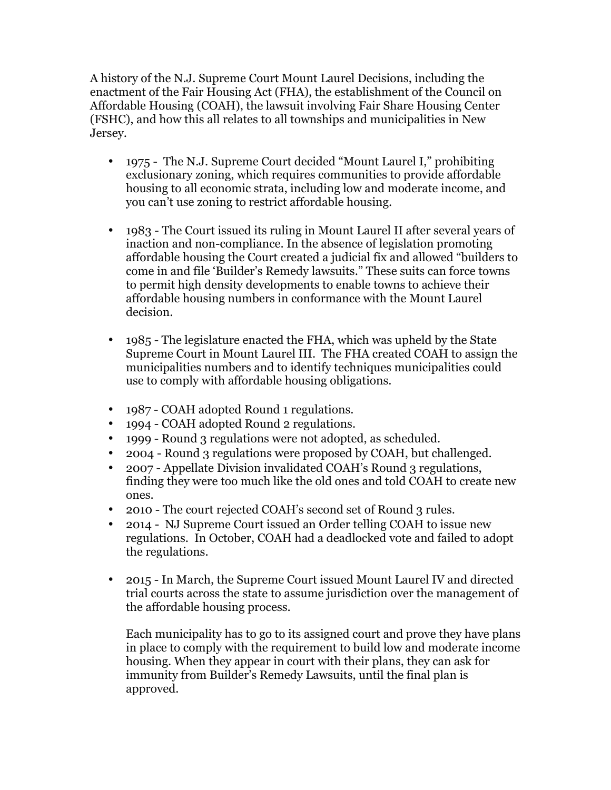A history of the N.J. Supreme Court Mount Laurel Decisions, including the enactment of the Fair Housing Act (FHA), the establishment of the Council on Affordable Housing (COAH), the lawsuit involving Fair Share Housing Center (FSHC), and how this all relates to all townships and municipalities in New Jersey.

- 1975 The N.J. Supreme Court decided "Mount Laurel I," prohibiting exclusionary zoning, which requires communities to provide affordable housing to all economic strata, including low and moderate income, and you can't use zoning to restrict affordable housing.
- 1983 The Court issued its ruling in Mount Laurel II after several years of inaction and non-compliance. In the absence of legislation promoting affordable housing the Court created a judicial fix and allowed "builders to come in and file 'Builder's Remedy lawsuits." These suits can force towns to permit high density developments to enable towns to achieve their affordable housing numbers in conformance with the Mount Laurel decision.
- 1985 The legislature enacted the FHA, which was upheld by the State Supreme Court in Mount Laurel III. The FHA created COAH to assign the municipalities numbers and to identify techniques municipalities could use to comply with affordable housing obligations.
- 1987 COAH adopted Round 1 regulations.
- 1994 COAH adopted Round 2 regulations.
- 1999 Round 3 regulations were not adopted, as scheduled.
- 2004 Round 3 regulations were proposed by COAH, but challenged.
- 2007 Appellate Division invalidated COAH's Round 3 regulations, finding they were too much like the old ones and told COAH to create new ones.
- 2010 The court rejected COAH's second set of Round 3 rules.
- 2014 NJ Supreme Court issued an Order telling COAH to issue new regulations. In October, COAH had a deadlocked vote and failed to adopt the regulations.
- 2015 In March, the Supreme Court issued Mount Laurel IV and directed trial courts across the state to assume jurisdiction over the management of the affordable housing process.

Each municipality has to go to its assigned court and prove they have plans in place to comply with the requirement to build low and moderate income housing. When they appear in court with their plans, they can ask for immunity from Builder's Remedy Lawsuits, until the final plan is approved.